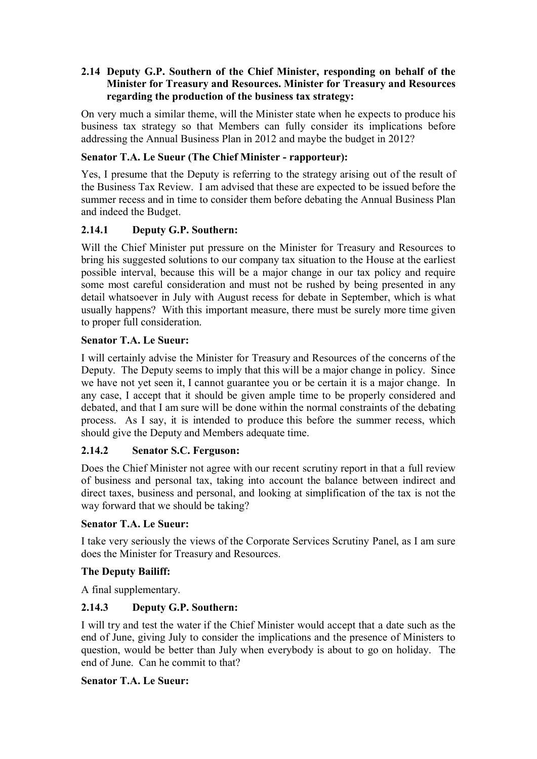# **2.14 Deputy G.P. Southern of the Chief Minister, responding on behalf of the Minister for Treasury and Resources. Minister for Treasury and Resources regarding the production of the business tax strategy:**

On very much a similar theme, will the Minister state when he expects to produce his business tax strategy so that Members can fully consider its implications before addressing the Annual Business Plan in 2012 and maybe the budget in 2012?

# **Senator T.A. Le Sueur (The Chief Minister - rapporteur):**

Yes, I presume that the Deputy is referring to the strategy arising out of the result of the Business Tax Review. I am advised that these are expected to be issued before the summer recess and in time to consider them before debating the Annual Business Plan and indeed the Budget.

# **2.14.1 Deputy G.P. Southern:**

Will the Chief Minister put pressure on the Minister for Treasury and Resources to bring his suggested solutions to our company tax situation to the House at the earliest possible interval, because this will be a major change in our tax policy and require some most careful consideration and must not be rushed by being presented in any detail whatsoever in July with August recess for debate in September, which is what usually happens? With this important measure, there must be surely more time given to proper full consideration.

### **Senator T.A. Le Sueur:**

I will certainly advise the Minister for Treasury and Resources of the concerns of the Deputy. The Deputy seems to imply that this will be a major change in policy. Since we have not yet seen it, I cannot guarantee you or be certain it is a major change. In any case, I accept that it should be given ample time to be properly considered and debated, and that I am sure will be done within the normal constraints of the debating process. As I say, it is intended to produce this before the summer recess, which should give the Deputy and Members adequate time.

### **2.14.2 Senator S.C. Ferguson:**

Does the Chief Minister not agree with our recent scrutiny report in that a full review of business and personal tax, taking into account the balance between indirect and direct taxes, business and personal, and looking at simplification of the tax is not the way forward that we should be taking?

### **Senator T.A. Le Sueur:**

I take very seriously the views of the Corporate Services Scrutiny Panel, as I am sure does the Minister for Treasury and Resources.

### **The Deputy Bailiff:**

A final supplementary.

### **2.14.3 Deputy G.P. Southern:**

I will try and test the water if the Chief Minister would accept that a date such as the end of June, giving July to consider the implications and the presence of Ministers to question, would be better than July when everybody is about to go on holiday. The end of June. Can he commit to that?

### **Senator T.A. Le Sueur:**